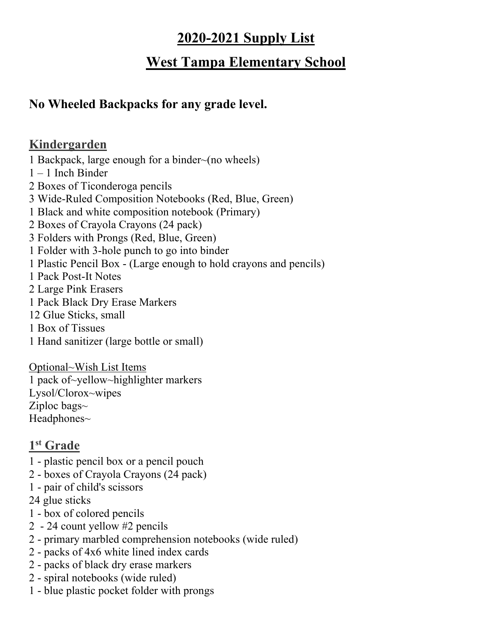# **2020-2021 Supply List**

# **West Tampa Elementary School**

## **No Wheeled Backpacks for any grade level.**

### **Kindergarden**

1 Backpack, large enough for a binder~(no wheels) 1 – 1 Inch Binder 2 Boxes of Ticonderoga pencils 3 Wide-Ruled Composition Notebooks (Red, Blue, Green) 1 Black and white composition notebook (Primary) 2 Boxes of Crayola Crayons (24 pack) 3 Folders with Prongs (Red, Blue, Green) 1 Folder with 3-hole punch to go into binder 1 Plastic Pencil Box - (Large enough to hold crayons and pencils) 1 Pack Post-It Notes 2 Large Pink Erasers 1 Pack Black Dry Erase Markers 12 Glue Sticks, small 1 Box of Tissues 1 Hand sanitizer (large bottle or small)

Optional~Wish List Items 1 pack of~yellow~highlighter markers Lysol/Clorox~wipes Ziploc bags $\sim$ Headphones~

## **1st Grade**

- 1 plastic pencil box or a pencil pouch
- 2 boxes of Crayola Crayons (24 pack)
- 1 pair of child's scissors
- 24 glue sticks
- 1 box of colored pencils
- 2 24 count yellow #2 pencils
- 2 primary marbled comprehension notebooks (wide ruled)
- 2 packs of 4x6 white lined index cards
- 2 packs of black dry erase markers
- 2 spiral notebooks (wide ruled)
- 1 blue plastic pocket folder with prongs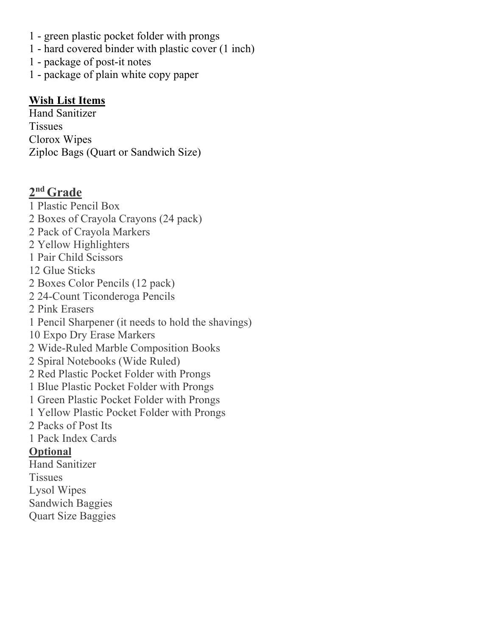- 1 green plastic pocket folder with prongs
- 1 hard covered binder with plastic cover (1 inch)
- 1 package of post-it notes
- 1 package of plain white copy paper

#### **Wish List Items**

Hand Sanitizer **Tissues** Clorox Wipes Ziploc Bags (Quart or Sandwich Size)

#### **2nd Grade**

1 Plastic Pencil Box 2 Boxes of Crayola Crayons (24 pack) 2 Pack of Crayola Markers 2 Yellow Highlighters 1 Pair Child Scissors 12 Glue Sticks 2 Boxes Color Pencils (12 pack) 2 24-Count Ticonderoga Pencils 2 Pink Erasers 1 Pencil Sharpener (it needs to hold the shavings) 10 Expo Dry Erase Markers 2 Wide-Ruled Marble Composition Books 2 Spiral Notebooks (Wide Ruled) 2 Red Plastic Pocket Folder with Prongs 1 Blue Plastic Pocket Folder with Prongs 1 Green Plastic Pocket Folder with Prongs 1 Yellow Plastic Pocket Folder with Prongs 2 Packs of Post Its 1 Pack Index Cards **Optional** Hand Sanitizer **Tissues** Lysol Wipes Sandwich Baggies

Quart Size Baggies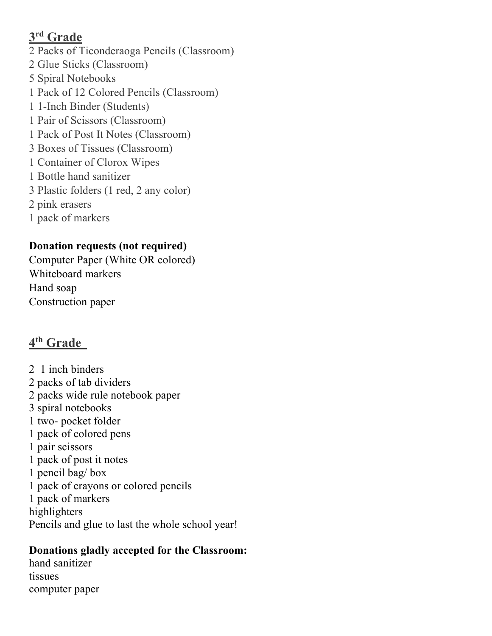### **3rd Grade**

2 Packs of Ticonderaoga Pencils (Classroom) 2 Glue Sticks (Classroom) 5 Spiral Notebooks 1 Pack of 12 Colored Pencils (Classroom) 1 1-Inch Binder (Students) 1 Pair of Scissors (Classroom) 1 Pack of Post It Notes (Classroom) 3 Boxes of Tissues (Classroom) 1 Container of Clorox Wipes 1 Bottle hand sanitizer 3 Plastic folders (1 red, 2 any color) 2 pink erasers 1 pack of markers

### **Donation requests (not required)**

Computer Paper (White OR colored) Whiteboard markers Hand soap Construction paper

# **4th Grade**

2 1 inch binders 2 packs of tab dividers 2 packs wide rule notebook paper 3 spiral notebooks 1 two- pocket folder 1 pack of colored pens 1 pair scissors 1 pack of post it notes 1 pencil bag/ box 1 pack of crayons or colored pencils 1 pack of markers highlighters Pencils and glue to last the whole school year!

## **Donations gladly accepted for the Classroom:**

hand sanitizer tissues computer paper